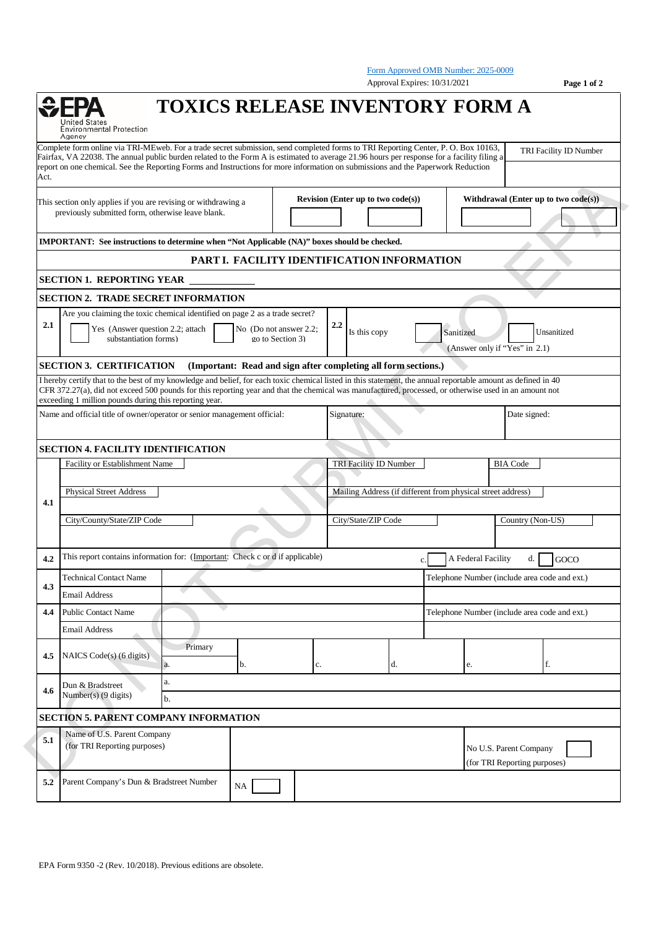|      |                                                                                                                                                                                                                                                                                                                                                                                                                                                               |                                               | Approval Expires: 10/31/2021                                   | Form Approved OMB Number: 2025-0009           | Page 1 of 2                                            |
|------|---------------------------------------------------------------------------------------------------------------------------------------------------------------------------------------------------------------------------------------------------------------------------------------------------------------------------------------------------------------------------------------------------------------------------------------------------------------|-----------------------------------------------|----------------------------------------------------------------|-----------------------------------------------|--------------------------------------------------------|
|      | <b>TOXICS RELEASE INVENTORY FORM A</b><br>d States<br><b>Environmental Protection</b><br>Agency                                                                                                                                                                                                                                                                                                                                                               |                                               |                                                                |                                               |                                                        |
| Act. | Complete form online via TRI-MEweb. For a trade secret submission, send completed forms to TRI Reporting Center, P. O. Box 10163,<br>Fairfax, VA 22038. The annual public burden related to the Form A is estimated to average 21.96 hours per response for a facility filing a<br>report on one chemical. See the Reporting Forms and Instructions for more information on submissions and the Paperwork Reduction                                           |                                               |                                                                |                                               | TRI Facility ID Number                                 |
|      | This section only applies if you are revising or withdrawing a<br>previously submitted form, otherwise leave blank.                                                                                                                                                                                                                                                                                                                                           |                                               | Revision (Enter up to two code(s))                             |                                               | Withdrawal (Enter up to two $code(s)$ )                |
|      | IMPORTANT: See instructions to determine when "Not Applicable (NA)" boxes should be checked.                                                                                                                                                                                                                                                                                                                                                                  |                                               |                                                                |                                               |                                                        |
|      |                                                                                                                                                                                                                                                                                                                                                                                                                                                               |                                               | PART I. FACILITY IDENTIFICATION INFORMATION                    |                                               |                                                        |
|      | <b>SECTION 1. REPORTING YEAR</b>                                                                                                                                                                                                                                                                                                                                                                                                                              |                                               |                                                                |                                               |                                                        |
|      | <b>SECTION 2. TRADE SECRET INFORMATION</b>                                                                                                                                                                                                                                                                                                                                                                                                                    |                                               |                                                                |                                               |                                                        |
|      | Are you claiming the toxic chemical identified on page 2 as a trade secret?                                                                                                                                                                                                                                                                                                                                                                                   |                                               |                                                                |                                               |                                                        |
| 2.1  | Yes (Answer question 2.2; attach<br>substantiation forms)                                                                                                                                                                                                                                                                                                                                                                                                     | No (Do not answer 2.2;<br>go to Section 3)    | 2.2<br>Is this copy                                            | Sanitized<br>(Answer only if "Yes" in 2.1)    | Unsanitized                                            |
|      | <b>SECTION 3. CERTIFICATION</b>                                                                                                                                                                                                                                                                                                                                                                                                                               |                                               | (Important: Read and sign after completing all form sections.) |                                               |                                                        |
|      | I hereby certify that to the best of my knowledge and belief, for each toxic chemical listed in this statement, the annual reportable amount as defined in 40<br>CFR 372.27(a), did not exceed 500 pounds for this reporting year and that the chemical was manufactured, processed, or otherwise used in an amount not<br>exceeding 1 million pounds during this reporting year.<br>Name and official title of owner/operator or senior management official: |                                               | Signature:                                                     |                                               | Date signed:                                           |
|      |                                                                                                                                                                                                                                                                                                                                                                                                                                                               |                                               |                                                                |                                               |                                                        |
|      | <b>SECTION 4. FACILITY IDENTIFICATION</b>                                                                                                                                                                                                                                                                                                                                                                                                                     |                                               |                                                                |                                               |                                                        |
|      | Facility or Establishment Name                                                                                                                                                                                                                                                                                                                                                                                                                                |                                               | <b>TRI Facility ID Number</b><br><b>BIA Code</b>               |                                               |                                                        |
| 4.1  | <b>Physical Street Address</b>                                                                                                                                                                                                                                                                                                                                                                                                                                |                                               | Mailing Address (if different from physical street address)    |                                               |                                                        |
|      | City/County/State/ZIP Code                                                                                                                                                                                                                                                                                                                                                                                                                                    |                                               | City/State/ZIP Code                                            |                                               | Country (Non-US)                                       |
|      | This report contains information for: (Important: Check c or d if applicable)                                                                                                                                                                                                                                                                                                                                                                                 |                                               | $\mathbf{c}$ .                                                 |                                               | A Federal Facility d. GOCO                             |
|      | <b>Technical Contact Name</b>                                                                                                                                                                                                                                                                                                                                                                                                                                 | Telephone Number (include area code and ext.) |                                                                |                                               |                                                        |
| 4.3  | C.<br><b>Email Address</b>                                                                                                                                                                                                                                                                                                                                                                                                                                    |                                               |                                                                |                                               |                                                        |
| 4.4  | <b>Public Contact Name</b>                                                                                                                                                                                                                                                                                                                                                                                                                                    |                                               |                                                                | Telephone Number (include area code and ext.) |                                                        |
|      | <b>Email Address</b>                                                                                                                                                                                                                                                                                                                                                                                                                                          |                                               |                                                                |                                               |                                                        |
| 4.5  | Primary<br>NAICS Code(s) (6 digits)<br>a.<br>b.                                                                                                                                                                                                                                                                                                                                                                                                               | c.                                            | d.                                                             | e.                                            | f.                                                     |
| 4.6  | a.<br>Dun & Bradstreet<br>Number(s) $(9 \text{ digits})$<br>b.                                                                                                                                                                                                                                                                                                                                                                                                |                                               |                                                                |                                               |                                                        |
|      | <b>SECTION 5. PARENT COMPANY INFORMATION</b>                                                                                                                                                                                                                                                                                                                                                                                                                  |                                               |                                                                |                                               |                                                        |
| 5.1  | Name of U.S. Parent Company<br>(for TRI Reporting purposes)                                                                                                                                                                                                                                                                                                                                                                                                   |                                               |                                                                |                                               | No U.S. Parent Company<br>(for TRI Reporting purposes) |
| 5.2  | Parent Company's Dun & Bradstreet Number<br>NA                                                                                                                                                                                                                                                                                                                                                                                                                |                                               |                                                                |                                               |                                                        |